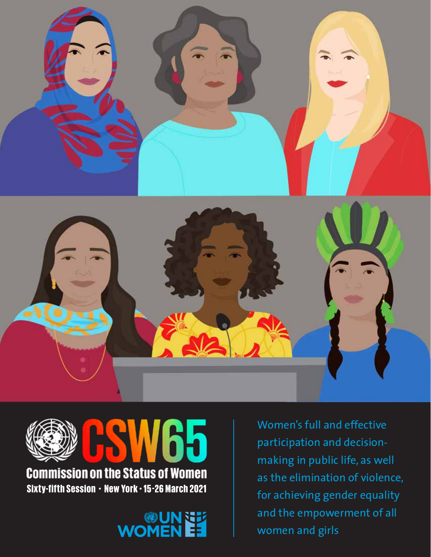



**Commission on the Status of Women** Sixty-fifth Session • New York • 15 -26 March 2021

**WOMENEE** 

Women's full and effective participation and decisionmaking in public life, as well as the elimination of violence, for achieving gender equality and the empowerment of all women and girls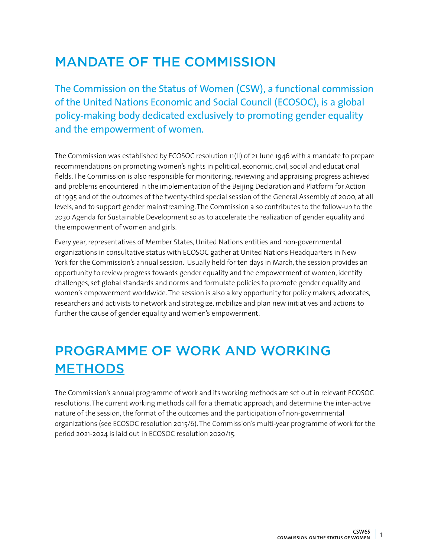#### MANDATE OF THE COMMISSION

The Commission on the Status of Women (CSW), a functional commission of the United Nations Economic and Social Council (ECOSOC), is a global policy-making body dedicated exclusively to promoting gender equality and the empowerment of women.

The Commission was established by ECOSOC resolution 11(II) of 21 June 1946 with a mandate to prepare recommendations on promoting women's rights in political, economic, civil, social and educational fields. The Commission is also responsible for monitoring, reviewing and appraising progress achieved and problems encountered in the implementation of the Beijing Declaration and Platform for Action of 1995 and of the outcomes of the twenty-third special session of the General Assembly of 2000, at all levels, and to support gender mainstreaming. The Commission also contributes to the follow-up to the 2030 Agenda for Sustainable Development so as to accelerate the realization of gender equality and the empowerment of women and girls.

Every year, representatives of Member States, United Nations entities and non-governmental organizations in consultative status with ECOSOC gather at United Nations Headquarters in New York for the Commission's annual session. Usually held for ten days in March, the session provides an opportunity to review progress towards gender equality and the empowerment of women, identify challenges, set global standards and norms and formulate policies to promote gender equality and women's empowerment worldwide. The session is also a key opportunity for policy makers, advocates, researchers and activists to network and strategize, mobilize and plan new initiatives and actions to further the cause of gender equality and women's empowerment.

## PROGRAMME OF WORK AND WORKING **METHODS**

The Commission's annual programme of work and its working methods are set out in relevant ECOSOC resolutions. The current working methods call for a thematic approach, and determine the inter-active nature of the session, the format of the outcomes and the participation of non-governmental organizations (see ECOSOC resolution 2015/6). The Commission's multi-year programme of work for the period 2021-2024 is laid out in ECOSOC resolution 2020/15.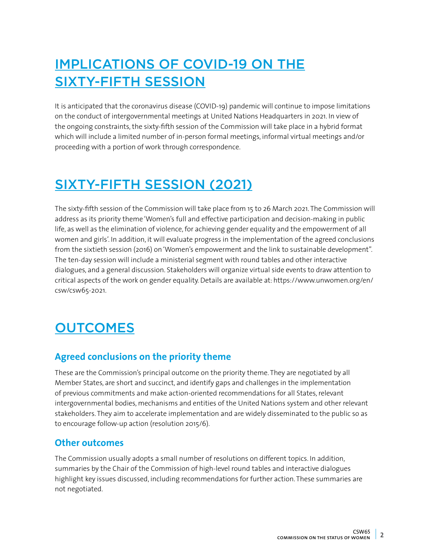# IMPLICATIONS OF COVID-19 ON THE SIXTY-FIFTH SESSION

It is anticipated that the coronavirus disease (COVID-19) pandemic will continue to impose limitations on the conduct of intergovernmental meetings at United Nations Headquarters in 2021. In view of the ongoing constraints, the sixty-fifth session of the Commission will take place in a hybrid format which will include a limited number of in-person formal meetings, informal virtual meetings and/or proceeding with a portion of work through correspondence.

## SIXTY-FIFTH SESSION (2021)

The sixty-fifth session of the Commission will take place from 15 to 26 March 2021. The Commission will address as its priority theme 'Women's full and effective participation and decision-making in public life, as well as the elimination of violence, for achieving gender equality and the empowerment of all women and girls'. In addition, it will evaluate progress in the implementation of the agreed conclusions from the sixtieth session (2016) on 'Women's empowerment and the link to sustainable development". The ten-day session will include a ministerial segment with round tables and other interactive dialogues, and a general discussion. Stakeholders will organize virtual side events to draw attention to critical aspects of the work on gender equality. Details are available at: https://www.unwomen.org/en/ csw/csw65-2021.

## **OUTCOMES**

#### **Agreed conclusions on the priority theme**

These are the Commission's principal outcome on the priority theme. They are negotiated by all Member States, are short and succinct, and identify gaps and challenges in the implementation of previous commitments and make action-oriented recommendations for all States, relevant intergovernmental bodies, mechanisms and entities of the United Nations system and other relevant stakeholders. They aim to accelerate implementation and are widely disseminated to the public so as to encourage follow-up action (resolution 2015/6).

#### **Other outcomes**

The Commission usually adopts a small number of resolutions on different topics. In addition, summaries by the Chair of the Commission of high-level round tables and interactive dialogues highlight key issues discussed, including recommendations for further action. These summaries are not negotiated.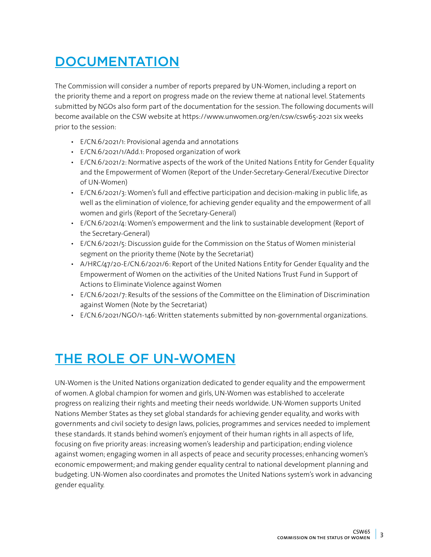## **DOCUMENTATION**

The Commission will consider a number of reports prepared by UN-Women, including a report on the priority theme and a report on progress made on the review theme at national level. Statements submitted by NGOs also form part of the documentation for the session. The following documents will become available on the CSW website at<https://www.unwomen.org/en/csw/csw65-2021> six weeks prior to the session:

- E/CN.6/2021/1: Provisional agenda and annotations
- E/CN.6/2021/1/Add.1: Proposed organization of work
- E/CN.6/2021/2: Normative aspects of the work of the United Nations Entity for Gender Equality and the Empowerment of Women (Report of the Under-Secretary-General/Executive Director of UN-Women)
- E/CN.6/2021/3: Women's full and effective participation and decision-making in public life, as well as the elimination of violence, for achieving gender equality and the empowerment of all women and girls (Report of the Secretary-General)
- E/CN.6/2021/4: Women's empowerment and the link to sustainable development (Report of the Secretary-General)
- E/CN.6/2021/5: Discussion guide for the Commission on the Status of Women ministerial segment on the priority theme (Note by the Secretariat)
- A/HRC/47/20-E/CN.6/2021/6: Report of the United Nations Entity for Gender Equality and the Empowerment of Women on the activities of the United Nations Trust Fund in Support of Actions to Eliminate Violence against Women
- E/CN.6/2021/7: Results of the sessions of the Committee on the Elimination of Discrimination against Women (Note by the Secretariat)
- E/CN.6/2021/NGO/1-146: Written statements submitted by non-governmental organizations.

#### THE ROLE OF UN-WOMEN

UN-Women is the United Nations organization dedicated to gender equality and the empowerment of women. A global champion for women and girls, UN-Women was established to accelerate progress on realizing their rights and meeting their needs worldwide. UN-Women supports United Nations Member States as they set global standards for achieving gender equality, and works with governments and civil society to design laws, policies, programmes and services needed to implement these standards. It stands behind women's enjoyment of their human rights in all aspects of life, focusing on five priority areas: increasing women's leadership and participation; ending violence against women; engaging women in all aspects of peace and security processes; enhancing women's economic empowerment; and making gender equality central to national development planning and budgeting. UN-Women also coordinates and promotes the United Nations system's work in advancing gender equality.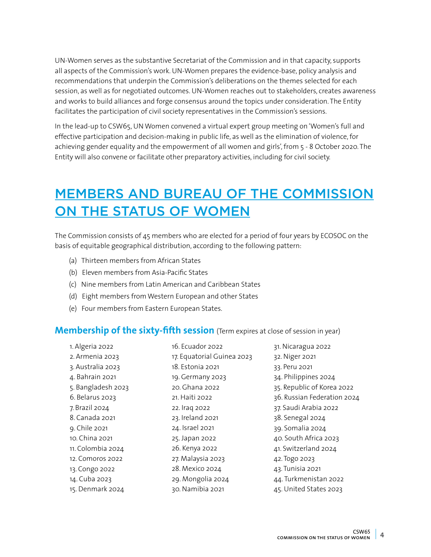UN-Women serves as the substantive Secretariat of the Commission and in that capacity, supports all aspects of the Commission's work. UN-Women prepares the evidence-base, policy analysis and recommendations that underpin the Commission's deliberations on the themes selected for each session, as well as for negotiated outcomes. UN-Women reaches out to stakeholders, creates awareness and works to build alliances and forge consensus around the topics under consideration. The Entity facilitates the participation of civil society representatives in the Commission's sessions.

In the lead-up to CSW65, UN Women convened a virtual expert group meeting on 'Women's full and effective participation and decision-making in public life, as well as the elimination of violence, for achieving gender equality and the empowerment of all women and girls', from 5 - 8 October 2020. The Entity will also convene or facilitate other preparatory activities, including for civil society.

## MEMBERS AND BUREAU OF THE COMMISSION ON THE STATUS OF WOMEN

The Commission consists of 45 members who are elected for a period of four years by ECOSOC on the basis of equitable geographical distribution, according to the following pattern:

- (a) Thirteen members from African States
- (b) Eleven members from Asia-Pacific States
- (c) Nine members from Latin American and Caribbean States
- (d) Eight members from Western European and other States
- (e) Four members from Eastern European States.

#### **Membership of the sixty-fifth session** (Term expires at close of session in year)

| 1. Algeria 2022    | 16. Ecuador 2022           | 31. Nicaragua 2022          |
|--------------------|----------------------------|-----------------------------|
| 2. Armenia 2023    | 17. Equatorial Guinea 2023 | 32. Niger 2021              |
| 3. Australia 2023  | 18. Estonia 2021           | 33. Peru 2021               |
| 4. Bahrain 2021    | 19. Germany 2023           | 34. Philippines 2024        |
| 5. Bangladesh 2023 | 20. Ghana 2022             | 35. Republic of Korea 2022  |
| 6. Belarus 2023    | 21. Haiti 2022             | 36. Russian Federation 2024 |
| 7. Brazil 2024     | 22. Iraq 2022              | 37. Saudi Arabia 2022       |
| 8. Canada 2021     | 23. Ireland 2021           | 38. Senegal 2024            |
| 9. Chile 2021      | 24. Israel 2021            | 39. Somalia 2024            |
| 10. China 2021     | 25. Japan 2022             | 40. South Africa 2023       |
| 11. Colombia 2024  | 26. Kenya 2022             | 41. Switzerland 2024        |
| 12. Comoros 2022   | 27. Malaysia 2023          | 42. Togo 2023               |
| 13. Congo 2022     | 28. Mexico 2024            | 43. Tunisia 2021            |
| 14. Cuba 2023      | 29. Mongolia 2024          | 44. Turkmenistan 2022       |
| 15. Denmark 2024   | 30. Namibia 2021           | 45. United States 2023      |